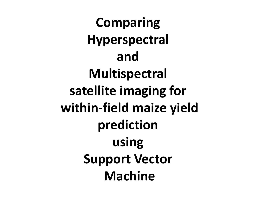**Comparing H tl yperspectral andMultispectral satellite i i mag ng for within‐field maize yield prediction using Support Vector Machine**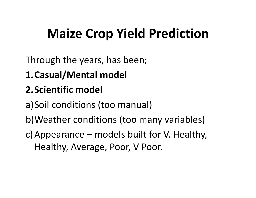## **Maize Crop Yield Prediction**

Through the years, has been;

### **1.Casual/Mental model**

### **2.S i ifi Scientific mod l e**

a)Soil conditions (too manual)

b)Weather conditions (too many variables)

c) Appearance – models built for V. Healthy, Healthy, Average, Poor, V Poor.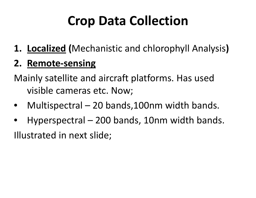## **Crop Data Collection**

**1. Localized (**Mechanistic and chlorophyll Analysis**)**

#### **2. R t emo <sup>e</sup>‐sensing**

- Mainly satellite and aircraft platforms. Has used visible cameras etc. Now;
- $\bullet$ Multispectral – 20 bands,100nm width bands.
- • Hyperspectral – 200 bands, 10nm width bands. Illustrated in next slide;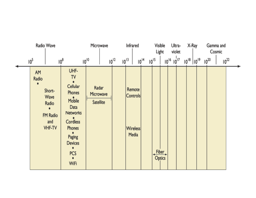| Radio Wave                                                                 |                                                                                                                                        | Microwave                       | Infrared                                       | Visible<br>Light |                 | Ultra-<br>violet    | X-Ray               | Gamma and<br>Cosmic    |  |
|----------------------------------------------------------------------------|----------------------------------------------------------------------------------------------------------------------------------------|---------------------------------|------------------------------------------------|------------------|-----------------|---------------------|---------------------|------------------------|--|
| 10 <sup>5</sup>                                                            | $10^{10}$<br>$10^8$                                                                                                                    | $10^{12}$                       | $10^{13}$                                      | $10^{14}$        | $10^{15}$       | $10^{16}$ $10^{17}$ | $10^{18}$ $10^{19}$ | $10^{20}$<br>$10^{22}$ |  |
| AM<br>Radio<br>Short-<br>Wave<br>Radio<br>FM Radio<br>and<br><b>VHF-TV</b> | UHF-<br>T٧<br>Cellular<br>Phones<br>Mobile<br>Data<br>Networks<br>Cordless<br>Phones<br>Paging<br><b>Devices</b><br><b>PCS</b><br>WiFi | Radar<br>Microwave<br>Satellite | Remote<br>Controls<br><b>Wireless</b><br>Media |                  | Fiber<br>Optics |                     |                     |                        |  |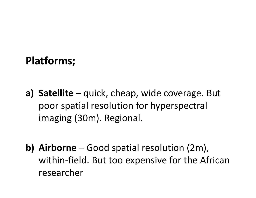#### **Platforms;**

- **a) Satellite** quick, cheap, wide coverage. But poor spatial resolution for hyperspectral imaging (30m). Regional.
- **b) Airborne** Good spatial resolution (2m), within‐field. But too expensive for the African researcher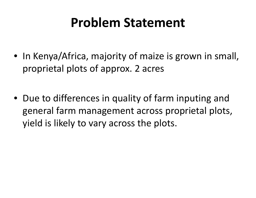### **Problem Statement**

- In Kenya/Africa, majority of maize is grown in small, proprietal plots of approx. 2 acres
- Due to differences in quality of farm inputing and general farm management across proprietal plots, yield is likely to vary across the plots.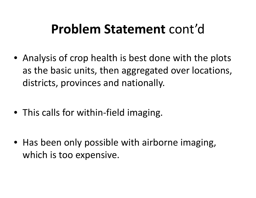## **Problem Statement** cont'd

- Analysis of crop health is best done with the plots as the basic units, then aggregated over locations, districts, provinces and nationally.
- This calls for within-field imaging.
- Has been only possible with airborne imaging, which is too expensive.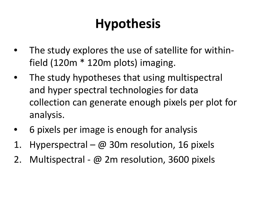## **Hypothesis**

- $\bullet$ ● The study explores the use of satellite for withinfield (120m \* 120m plots) imaging.
- • The study hypotheses that using multispectral and hyper spectral technologies for data collection can generate enough pixels per plot for analysis.
- •• 6 pixels per image is enough for analysis
- 1. Hyperspectral  $\omega$  30m resolution, 16 pixels
- 2.Multispectral -  $\omega$  2m resolution, 3600 pixels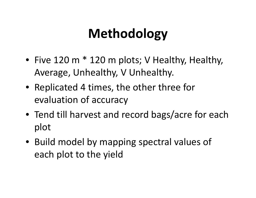## **Methodology**

- Five 120 m  $*$  120 m plots; V Healthy, Healthy, Average, Unhealthy, V Unhealthy.
- Replicated 4 times, the other three for evaluation of accuracy
- $\bullet\,$  Tend till harvest and record bags/acre for each plot
- Build model by mapping spectral values of each plot to the yield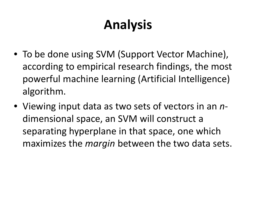# **Analysis**

- To be done using SVM (Support Vector Machine), according to empirical research findings, the most powerful machine learning (Artificial Intelligence) algorithm.
- Viewing input data as two sets of vectors in an *<sup>n</sup>*‐ dimensional space, an SVM will construct <sup>a</sup> separating hyperplane in that space, one which maximizes the *margin* between the two data sets.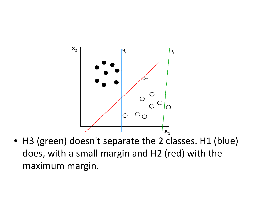

• H3 (green) doesn't separate the 2 classes. H1 (blue) does, with <sup>a</sup> small margin and H2 (red) with the maximum margin.